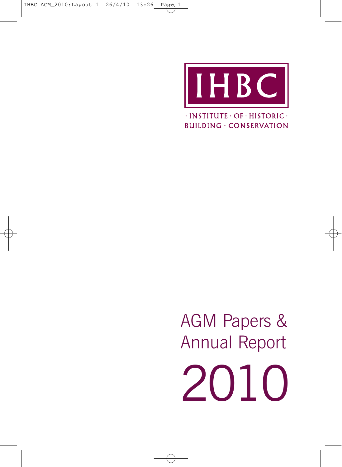

 $\cdot$ INSTITUTE $\cdot$ OF $\cdot$ HISTORIC $\cdot$ **BUILDING · CONSERVATION** 

AGM Papers & Annual Report 2010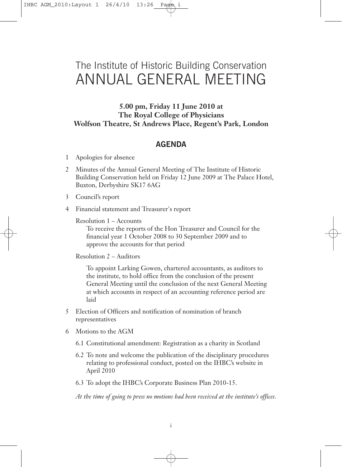# The Institute of Historic Building Conservation ANNUAL GENERAL MEETING

**5.00 pm, Friday 11 June 2010 at The Royal College of Physicians Wolfson Theatre, St Andrews Place, Regent's Park, London**

# **AGENDA**

- 1 Apologies for absence
- 2 Minutes of the Annual General Meeting of The Institute of Historic Building Conservation held on Friday 12 June 2009 at The Palace Hotel, Buxton, Derbyshire SK17 6AG
- 3 Council's report
- 4 Financial statement and Treasurer's report

Resolution 1 – Accounts

To receive the reports of the Hon Treasurer and Council for the financial year 1 October 2008 to 30 September 2009 and to approve the accounts for that period

Resolution 2 – Auditors

To appoint Larking Gowen, chartered accountants, as auditors to the institute, to hold office from the conclusion of the present General Meeting until the conclusion of the next General Meeting at which accounts in respect of an accounting reference period are laid

- 5 Election of Officers and notification of nomination of branch representatives
- 6 Motions to the AGM
	- 6.1 Constitutional amendment: Registration as a charity in Scotland
	- 6.2 To note and welcome the publication of the disciplinary procedures relating to professional conduct, posted on the IHBC's website in April 2010
	- 6.3 To adopt the IHBC's Corporate Business Plan 2010-15.

*At the time of going to press no motions had been received at the institute's offices.*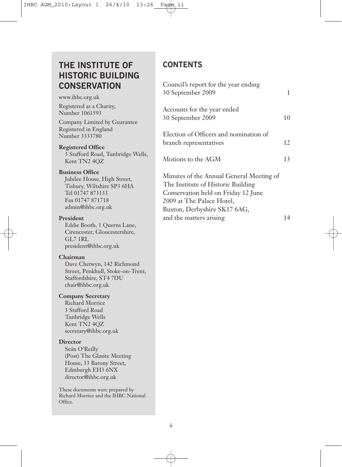# **THE INSTITUTE OF HISTORIC BUILDING CONSERVATION**

www.ihbc.org.uk

Registered as a Charity, Number 1061593

Company Limited by Guarantee Registered in England Number 3333780

### **Registered Office**

3 Stafford Road, Tunbridge Wells, Kent TN2 4QZ

#### **Business Office**

Jubilee House, High Street, Tisbury, Wiltshire SP3 6HA Tel 01747 873133 Fax 01747 871718 admin@ihbc.org.uk

#### **President**

Eddie Booth, 1 Querns Lane, Cirencester, Gloucestershire, GL7 1RL president@ihbc.org.uk

### **Chairman**

Dave Chetwyn, 142 Richmond Street, Penkhull, Stoke-on-Trent, Staffordshire, ST4 7DU chair@ihbc.org.uk

### **Company Secretary**

Richard Morrice 3 Stafford Road Tunbridge Wells Kent TN2 4QZ secretary@ihbc.org.uk

#### **Director**

Seán O'Reilly (Post) The Glasite Meeting House, 33 Barony Street, Edinburgh EH3 6NX director@ihbc.org.uk

These documents were prepared by Richard Morrice and the IHBC National Office.

# **CONTENTS**

| Council's report for the year ending<br>30 September 2009                                                                                                                          | 1  |
|------------------------------------------------------------------------------------------------------------------------------------------------------------------------------------|----|
| Accounts for the year ended<br>30 September 2009                                                                                                                                   | 10 |
| Election of Officers and nomination of<br>branch representatives                                                                                                                   | 12 |
| Motions to the AGM                                                                                                                                                                 | 13 |
| Minutes of the Annual General Meeting of<br>The Institute of Historic Building<br>Conservation held on Friday 12 June<br>2009 at The Palace Hotel,<br>Buxton, Derbyshire SK17 6AG, |    |

and the matters arising 14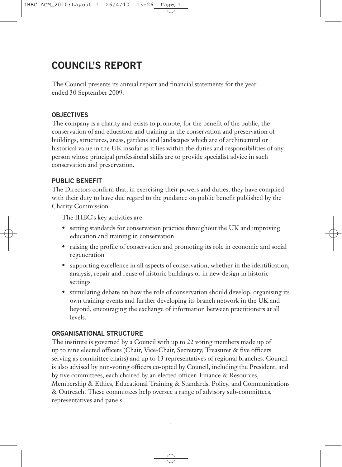# **COUNCIL'S REPORT**

The Council presents its annual report and financial statements for the year ended 30 September 2009.

# **OBJECTIVES**

The company is a charity and exists to promote, for the benefit of the public, the conservation of and education and training in the conservation and preservation of buildings, structures, areas, gardens and landscapes which are of architectural or historical value in the UK insofar as it lies within the duties and responsibilities of any person whose principal professional skills are to provide specialist advice in such conservation and preservation.

# **PUBLIC BENEFIT**

The Directors confirm that, in exercising their powers and duties, they have complied with their duty to have due regard to the guidance on public benefit published by the Charity Commission.

The IHBC's key activities are:

- setting standards for conservation practice throughout the UK and improving education and training in conservation
- raising the profile of conservation and promoting its role in economic and social regeneration
- supporting excellence in all aspects of conservation, whether in the identification, analysis, repair and reuse of historic buildings or in new design in historic settings
- stimulating debate on how the role of conservation should develop, organising its own training events and further developing its branch network in the UK and beyond, encouraging the exchange of information between practitioners at all levels.

# **ORGANISATIONAL STRUCTURE**

The institute is governed by a Council with up to 22 voting members made up of up to nine elected officers (Chair, Vice-Chair, Secretary, Treasurer & five officers serving as committee chairs) and up to 13 representatives of regional branches. Council is also advised by non-voting officers co-opted by Council, including the President, and by five committees, each chaired by an elected officer: Finance & Resources, Membership & Ethics, Educational Training & Standards, Policy, and Communications & Outreach. These committees help oversee a range of advisory sub-committees, representatives and panels.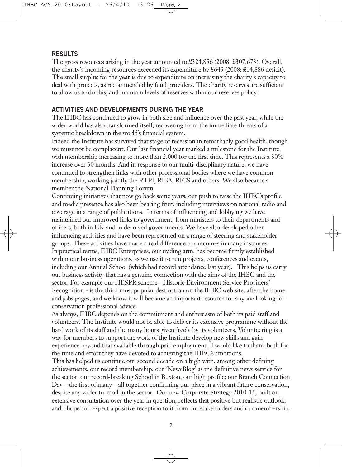#### **RESULTS**

The gross resources arising in the year amounted to £324,856 (2008: £307,673). Overall, the charity's incoming resources exceeded its expenditure by £649 (2008: £14,886 deficit). The small surplus for the year is due to expenditure on increasing the charity's capacity to deal with projects, as recommended by fund providers. The charity reserves are sufficient to allow us to do this, and maintain levels of reserves within our reserves policy.

### **ACTIVITIES AND DEVELOPMENTS DURING THE YEAR**

The IHBC has continued to grow in both size and influence over the past year, while the wider world has also transformed itself, recovering from the immediate threats of a systemic breakdown in the world's financial system.

Indeed the Institute has survived that stage of recession in remarkably good health, though we must not be complacent. Our last financial year marked a milestone for the Institute, with membership increasing to more than 2,000 for the first time. This represents a 30% increase over 30 months. And in response to our multi-disciplinary nature, we have continued to strengthen links with other professional bodies where we have common membership, working jointly the RTPI, RIBA, RICS and others. We also became a member the National Planning Forum.

Continuing initiatives that now go back some years, our push to raise the IHBC's profile and media presence has also been bearing fruit, including interviews on national radio and coverage in a range of publications. In terms of influencing and lobbying we have maintained our improved links to government, from ministers to their departments and officers, both in UK and in devolved governments. We have also developed other influencing activities and have been represented on a range of steering and stakeholder groups. These activities have made a real difference to outcomes in many instances. In practical terms, IHBC Enterprises, our trading arm, has become firmly established within our business operations, as we use it to run projects, conferences and events, including our Annual School (which had record attendance last year). This helps us carry out business activity that has a genuine connection with the aims of the IHBC and the sector. For example our HESPR scheme - Historic Environment Service Providers' Recognition - is the third most popular destination on the IHBC web site, after the home and jobs pages, and we know it will become an important resource for anyone looking for conservation professional advice.

As always, IHBC depends on the commitment and enthusiasm of both its paid staff and volunteers. The Institute would not be able to deliver its extensive programme without the hard work of its staff and the many hours given freely by its volunteers. Volunteering is a way for members to support the work of the Institute develop new skills and gain experience beyond that available through paid employment. I would like to thank both for the time and effort they have devoted to achieving the IHBC's ambitions.

This has helped us continue our second decade on a high with, among other defining achievements, our record membership; our 'NewsBlog' as the definitive news service for the sector; our record-breaking School in Buxton; our high profile; our Branch Connection Day – the first of many – all together confirming our place in a vibrant future conservation, despite any wider turmoil in the sector. Our new Corporate Strategy 2010-15, built on extensive consultation over the year in question, reflects that positive but realistic outlook, and I hope and expect a positive reception to it from our stakeholders and our membership.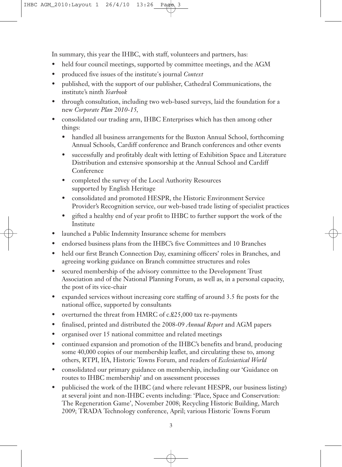In summary, this year the IHBC, with staff, volunteers and partners, has:

- held four council meetings, supported by committee meetings, and the AGM
- produced five issues of the institute's journal *Context*
- published, with the support of our publisher, Cathedral Communications, the institute's ninth *Yearbook*
- through consultation, including two web-based surveys, laid the foundation for a new *Corporate Plan 2010-15,*
- consolidated our trading arm, IHBC Enterprises which has then among other things:
	- handled all business arrangements for the Buxton Annual School, forthcoming Annual Schools, Cardiff conference and Branch conferences and other events
	- successfully and profitably dealt with letting of Exhibition Space and Literature Distribution and extensive sponsorship at the Annual School and Cardiff Conference
	- completed the survey of the Local Authority Resources supported by English Heritage
	- consolidated and promoted HESPR, the Historic Environment Service Provider's Recognition service, our web-based trade listing of specialist practices
	- gifted a healthy end of year profit to IHBC to further support the work of the Institute
- launched a Public Indemnity Insurance scheme for members
- endorsed business plans from the IHBC's five Committees and 10 Branches
- held our first Branch Connection Day, examining officers' roles in Branches, and agreeing working guidance on Branch committee structures and roles
- secured membership of the advisory committee to the Development Trust Association and of the National Planning Forum, as well as, in a personal capacity, the post of its vice-chair
- expanded services without increasing core staffing of around 3.5 fte posts for the national office, supported by consultants
- overturned the threat from HMRC of c.£25,000 tax re-payments
- finalised, printed and distributed the 2008-09 *Annual Report* and AGM papers
- organised over 15 national committee and related meetings
- continued expansion and promotion of the IHBC's benefits and brand, producing some 40,000 copies of our membership leaflet, and circulating these to, among others, RTPI, IfA, Historic Towns Forum, and readers of *Ecclesiastical World*
- consolidated our primary guidance on membership, including our 'Guidance on routes to IHBC membership' and on assessment processes
- publicised the work of the IHBC (and where relevant HESPR, our business listing) at several joint and non-IHBC events including: 'Place, Space and Conservation: The Regeneration Game', November 2008; Recycling Historic Building, March 2009; TRADA Technology conference, April; various Historic Towns Forum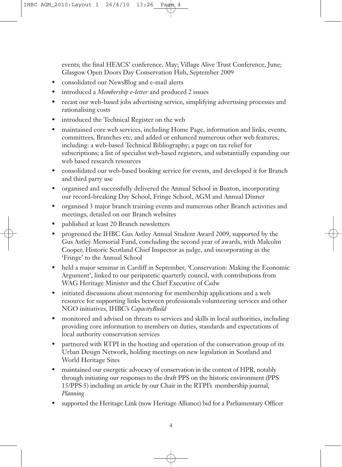events; the final HEACS' conference, May; Village Alive Trust Conference, June; Glasgow Open Doors Day Conservation Hub, September 2009

- consolidated our NewsBlog and e-mail alerts
- introduced a *Membership e-letter* and produced 2 issues
- recast our web-based jobs advertising service, simplifying advertising processes and rationalising costs
- introduced the Technical Register on the web
- maintained core web services, including Home Page, information and links, events, committees, Branches etc, and added or enhanced numerous other web features, including: a web-based Technical Bibliography; a page on tax relief for subscriptions; a list of specialist web-based registers, and substantially expanding our web based research resources
- consolidated our web-based booking service for events, and developed it for Branch and third party use
- organised and successfully delivered the Annual School in Buxton, incorporating our record-breaking Day School, Fringe School, AGM and Annual Dinner
- organised 3 major branch training events and numerous other Branch activities and meetings, detailed on our Branch websites
- published at least 20 Branch newsletters
- progressed the IHBC Gus Astley Annual Student Award 2009, supported by the Gus Astley Memorial Fund, concluding the second year of awards, with Malcolm Cooper, Historic Scotland Chief Inspector as judge, and incorporating in the 'Fringe' to the Annual School
- held a major seminar in Cardiff in September, 'Conservation: Making the Economic Argument', linked to our peripatetic quarterly council, with contributions from WAG Heritage Minister and the Chief Executive of Cadw
- initiated discussions about mentoring for membership applications and a web resource for supporting links between professionals volunteering services and other NGO initiatives, IHBC's *CapacityBuild*
- monitored and advised on threats to services and skills in local authorities, including providing core information to members on duties, standards and expectations of local authority conservation services
- partnered with RTPI in the hosting and operation of the conservation group of its Urban Design Network, holding meetings on new legislation in Scotland and World Heritage Sites
- maintained our energetic advocacy of conservation in the context of HPR, notably through initiating our responses to the draft PPS on the historic environment (PPS 15/PPS 5) including an article by our Chair in the RTPI's membership journal, *Planning*
- supported the Heritage Link (now Heritage Alliance) bid for a Parliamentary Officer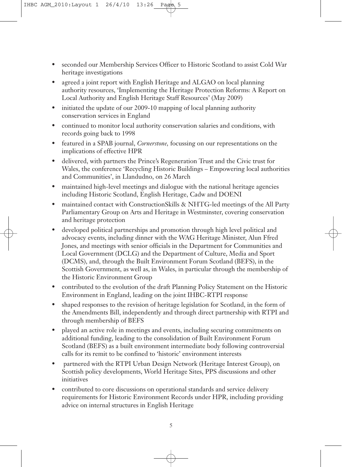- seconded our Membership Services Officer to Historic Scotland to assist Cold War heritage investigations
- agreed a joint report with English Heritage and ALGAO on local planning authority resources, 'Implementing the Heritage Protection Reforms: A Report on Local Authority and English Heritage Staff Resources' (May 2009)
- initiated the update of our 2009-10 mapping of local planning authority conservation services in England
- continued to monitor local authority conservation salaries and conditions, with records going back to 1998
- featured in a SPAB journal, *Cornerstone,* focussing on our representations on the implications of effective HPR
- delivered, with partners the Prince's Regeneration Trust and the Civic trust for Wales, the conference 'Recycling Historic Buildings – Empowering local authorities and Communities', in Llandudno, on 26 March
- maintained high-level meetings and dialogue with the national heritage agencies including Historic Scotland, English Heritage, Cadw and DOENI
- maintained contact with ConstructionSkills & NHTG-led meetings of the All Party Parliamentary Group on Arts and Heritage in Westminster, covering conservation and heritage protection
- developed political partnerships and promotion through high level political and advocacy events, including dinner with the WAG Heritage Minister, Alun Ffred Jones, and meetings with senior officials in the Department for Communities and Local Government (DCLG) and the Department of Culture, Media and Sport (DCMS), and, through the Built Environment Forum Scotland (BEFS), in the Scottish Government, as well as, in Wales, in particular through the membership of the Historic Environment Group
- contributed to the evolution of the draft Planning Policy Statement on the Historic Environment in England, leading on the joint IHBC-RTPI response
- shaped responses to the revision of heritage legislation for Scotland, in the form of the Amendments Bill, independently and through direct partnership with RTPI and through membership of BEFS
- played an active role in meetings and events, including securing commitments on additional funding, leading to the consolidation of Built Environment Forum Scotland (BEFS) as a built environment intermediate body following controversial calls for its remit to be confined to 'historic' environment interests
- partnered with the RTPI Urban Design Network (Heritage Interest Group), on Scottish policy developments, World Heritage Sites, PPS discussions and other initiatives
- contributed to core discussions on operational standards and service delivery requirements for Historic Environment Records under HPR, including providing advice on internal structures in English Heritage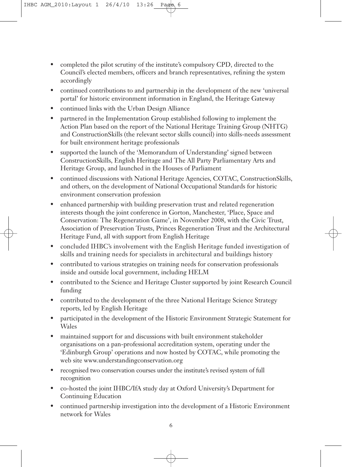- completed the pilot scrutiny of the institute's compulsory CPD, directed to the Council's elected members, officers and branch representatives, refining the system accordingly
- continued contributions to and partnership in the development of the new 'universal portal' for historic environment information in England, the Heritage Gateway
- continued links with the Urban Design Alliance
- partnered in the Implementation Group established following to implement the Action Plan based on the report of the National Heritage Training Group (NHTG) and ConstructionSkills (the relevant sector skills council) into skills-needs assessment for built environment heritage professionals
- supported the launch of the 'Memorandum of Understanding' signed between ConstructionSkills, English Heritage and The All Party Parliamentary Arts and Heritage Group, and launched in the Houses of Parliament
- continued discussions with National Heritage Agencies, COTAC, ConstructionSkills, and others, on the development of National Occupational Standards for historic environment conservation profession
- enhanced partnership with building preservation trust and related regeneration interests though the joint conference in Gorton, Manchester, 'Place, Space and Conservation: The Regeneration Game', in November 2008, with the Civic Trust, Association of Preservation Trusts, Princes Regeneration Trust and the Architectural Heritage Fund, all with support from English Heritage
- concluded IHBC's involvement with the English Heritage funded investigation of skills and training needs for specialists in architectural and buildings history
- contributed to various strategies on training needs for conservation professionals inside and outside local government, including HELM
- contributed to the Science and Heritage Cluster supported by joint Research Council funding
- contributed to the development of the three National Heritage Science Strategy reports, led by English Heritage
- participated in the development of the Historic Environment Strategic Statement for Wales
- maintained support for and discussions with built environment stakeholder organisations on a pan-professional accreditation system, operating under the 'Edinburgh Group' operations and now hosted by COTAC, while promoting the web site www.understandingconservation.org
- recognised two conservation courses under the institute's revised system of full recognition
- co-hosted the joint IHBC/IfA study day at Oxford University's Department for Continuing Education
- continued partnership investigation into the development of a Historic Environment network for Wales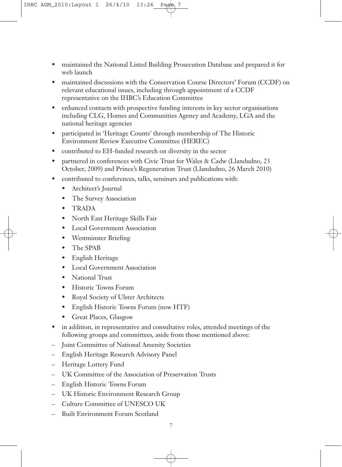- maintained the National Listed Building Prosecution Database and prepared it for web launch
- maintained discussions with the Conservation Course Directors' Forum (CCDF) on relevant educational issues, including through appointment of a CCDF representative on the IHBC's Education Committee
- enhanced contacts with prospective funding interests in key sector organisations including CLG, Homes and Communities Agency and Academy, LGA and the national heritage agencies
- participated in 'Heritage Counts' through membership of The Historic Environment Review Executive Committee (HEREC)
- contributed to EH-funded research on diversity in the sector
- partnered in conferences with Civic Trust for Wales & Cadw (Llandudno, 23 October, 2009) and Prince's Regeneration Trust (Llandudno, 26 March 2010)
- contributed to conferences, talks, seminars and publications with:
	- Architect's Journal
	- The Survey Association
	- TRADA
	- North East Heritage Skills Fair
	- **Local Government Association**
	- Westminster Briefing
	- The SPAB
	- English Heritage
	- **Local Government Association**
	- National Trust
	- Historic Towns Forum
	- Royal Society of Ulster Architects
	- English Historic Towns Forum (now HTF)
	- Great Places, Glasgow
- in addition, in representative and consultative roles, attended meetings of the following groups and committees, aside from those mentioned above:
- Joint Committee of National Amenity Societies
- English Heritage Research Advisory Panel
- Heritage Lottery Fund
- UK Committee of the Association of Preservation Trusts
- English Historic Towns Forum
- UK Historic Environment Research Group
- Culture Committee of UNESCO UK
- Built Environment Forum Scotland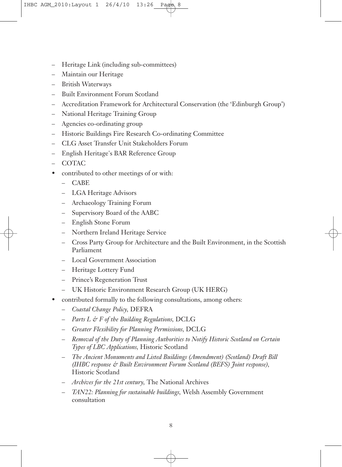- Heritage Link (including sub-committees)
- Maintain our Heritage
- British Waterways
- Built Environment Forum Scotland
- Accreditation Framework for Architectural Conservation (the 'Edinburgh Group')
- National Heritage Training Group
- Agencies co-ordinating group
- Historic Buildings Fire Research Co-ordinating Committee
- CLG Asset Transfer Unit Stakeholders Forum
- English Heritage's BAR Reference Group
- COTAC
- contributed to other meetings of or with:
	- CABE
	- LGA Heritage Advisors
	- Archaeology Training Forum
	- Supervisory Board of the AABC
	- English Stone Forum
	- Northern Ireland Heritage Service
	- Cross Party Group for Architecture and the Built Environment, in the Scottish Parliament
	- Local Government Association
	- Heritage Lottery Fund
	- Prince's Regeneration Trust
	- UK Historic Environment Research Group (UK HERG)
- contributed formally to the following consultations, among others:
	- *Coastal Change Policy,* DEFRA
	- *Parts L & F of the Building Regulations,* DCLG
	- *Greater Flexibility for Planning Permissions,* DCLG
	- *Removal of the Duty of Planning Authorities to Notify Historic Scotland on Certain Types of LBC Applications,* Historic Scotland
	- *The Ancient Monuments and Listed Buildings (Amendment) (Scotland) Draft Bill (IHBC response & Built Environment Forum Scotland (BEFS) Joint response),* Historic Scotland
	- *Archives for the 21st century,* The National Archives
	- *TAN22: Planning for sustainable buildings,* Welsh Assembly Government consultation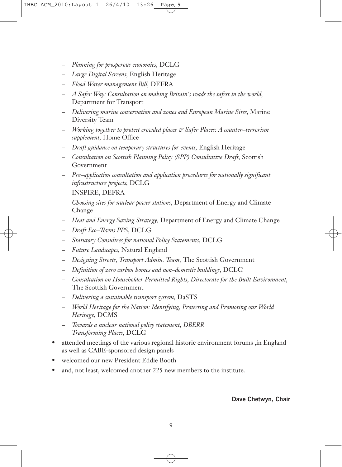- *Planning for prosperous economies,* DCLG
- *Large Digital Screens,* English Heritage
- *Flood Water management Bill,* DEFRA
- *A Safer Way: Consultation on making Britain's roads the safest in the world,* Department for Transport
- *Delivering marine conservation and zones and European Marine Sites,* Marine Diversity Team
- *Working together to protect crowded places & Safer Places: A counter–terrorism supplement,* Home Office
- *Draft guidance on temporary structures for events,* English Heritage
- *Consultation on Scottish Planning Policy (SPP) Consultative Draft,* Scottish Government
- *Pre–application consultation and application procedures for nationally significant infrastructure projects,* DCLG
- INSPIRE, DEFRA
- *Choosing sites for nuclear power stations,* Department of Energy and Climate Change
- *Heat and Energy Saving Strategy,* Department of Energy and Climate Change
- *Draft Eco–Towns PPS,* DCLG
- *Statutory Consultees for national Policy Statements,* DCLG
- *Future Landscapes,* Natural England
- *Designing Streets, Transport Admin. Team,* The Scottish Government
- *Definition of zero carbon homes and non–domestic buildings,* DCLG
- *Consultation on Householder Permitted Rights, Directorate for the Built Environment,* The Scottish Government
- *Delivering a sustainable transport system,* DaSTS
- *World Heritage for the Nation: Identifying, Protecting and Promoting our World Heritage,* DCMS
- *Towards a nuclear national policy statement, DBERR Transforming Places,* DCLG
- attended meetings of the various regional historic environment forums ,in England as well as CABE-sponsored design panels
- welcomed our new President Eddie Booth
- and, not least, welcomed another 225 new members to the institute.

**Dave Chetwyn, Chair**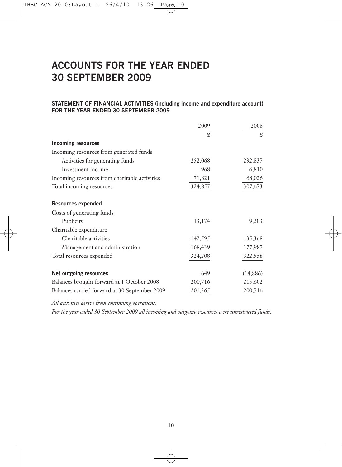# **ACCOUNTS FOR THE YEAR ENDED 30 SEPTEMBER 2009**

#### **STATEMENT OF FINANCIAL ACTIVITIES (including income and expenditure account) FOR THE YEAR ENDED 30 SEPTEMBER 2009**

|                                               | 2009    | 2008      |
|-----------------------------------------------|---------|-----------|
|                                               | £       | £         |
| <b>Incoming resources</b>                     |         |           |
| Incoming resources from generated funds       |         |           |
| Activities for generating funds               | 252,068 | 232,837   |
| Investment income                             | 968     | 6,810     |
| Incoming resources from charitable activities | 71,821  | 68,026    |
| Total incoming resources                      | 324,857 | 307,673   |
| Resources expended                            |         |           |
| Costs of generating funds                     |         |           |
| Publicity                                     | 13,174  | 9,203     |
| Charitable expenditure                        |         |           |
| Charitable activities                         | 142,595 | 135,368   |
| Management and administration                 | 168,439 | 177,987   |
| Total resources expended                      | 324,208 | 322,558   |
| Net outgoing resources                        | 649     | (14, 886) |
| Balances brought forward at 1 October 2008    | 200,716 | 215,602   |
| Balances carried forward at 30 September 2009 | 201,365 | 200,716   |

*All activities derive from continuing operations.*

*For the year ended 30 September 2009 all incoming and outgoing resources were unrestricted funds.*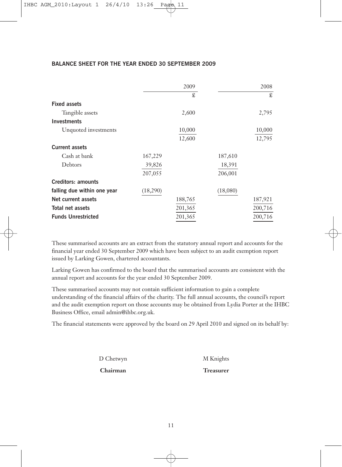## **BALANCE SHEET FOR THE YEAR ENDED 30 SEPTEMBER 2009**

|                             |          | 2009    |          | 2008    |
|-----------------------------|----------|---------|----------|---------|
|                             |          | £       |          | £       |
| <b>Fixed assets</b>         |          |         |          |         |
| Tangible assets             |          | 2,600   |          | 2,795   |
| <b>Investments</b>          |          |         |          |         |
| Unquoted investments        |          | 10,000  |          | 10,000  |
|                             |          | 12,600  |          | 12,795  |
| <b>Current assets</b>       |          |         |          |         |
| Cash at bank                | 167,229  |         | 187,610  |         |
| Debtors                     | 39,826   |         | 18,391   |         |
|                             | 207,055  |         | 206,001  |         |
| <b>Creditors: amounts</b>   |          |         |          |         |
| falling due within one year | (18,290) |         | (18,080) |         |
| Net current assets          |          | 188,765 |          | 187,921 |
| Total net assets            |          | 201,365 |          | 200,716 |
| <b>Funds Unrestricted</b>   |          | 201,365 |          | 200,716 |

These summarised accounts are an extract from the statutory annual report and accounts for the financial year ended 30 September 2009 which have been subject to an audit exemption report issued by Larking Gowen, chartered accountants.

Larking Gowen has confirmed to the board that the summarised accounts are consistent with the annual report and accounts for the year ended 30 September 2009.

These summarised accounts may not contain sufficient information to gain a complete understanding of the financial affairs of the charity. The full annual accounts, the council's report and the audit exemption report on those accounts may be obtained from Lydia Porter at the IHBC Business Office, email admin@ihbc.org.uk.

The financial statements were approved by the board on 29 April 2010 and signed on its behalf by:

D Chetwyn M Knights

**Chairman Treasurer**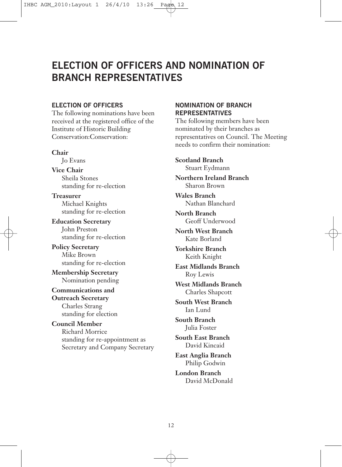# **ELECTION OF OFFICERS AND NOMINATION OF BRANCH REPRESENTATIVES**

# **ELECTION OF OFFICERS**

The following nominations have been received at the registered office of the Institute of Historic Building Conservation:Conservation:

## **Chair**

Jo Evans

**Vice Chair** Sheila Stones standing for re-election

**Treasurer** Michael Knights standing for re-election

**Education Secretary** John Preston standing for re-election

**Policy Secretary** Mike Brown standing for re-election

**Membership Secretary** Nomination pending

**Communications and Outreach Secretary** Charles Strang standing for election

**Council Member** Richard Morrice standing for re-appointment as Secretary and Company Secretary

# **NOMINATION OF BRANCH REPRESENTATIVES**

The following members have been nominated by their branches as representatives on Council. The Meeting needs to confirm their nomination:

**Scotland Branch** Stuart Eydmann

**Northern Ireland Branch** Sharon Brown

**Wales Branch** Nathan Blanchard

**North Branch** Geoff Underwood

**North West Branch** Kate Borland

**Yorkshire Branch** Keith Knight

**East Midlands Branch** Roy Lewis

**West Midlands Branch** Charles Shapcott

**South West Branch** Ian Lund

**South Branch** Julia Foster

**South East Branch** David Kincaid

**East Anglia Branch** Philip Godwin

**London Branch** David McDonald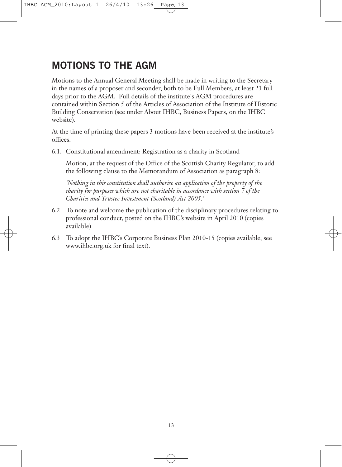# **MOTIONS TO THE AGM**

Motions to the Annual General Meeting shall be made in writing to the Secretary in the names of a proposer and seconder, both to be Full Members, at least 21 full days prior to the AGM. Full details of the institute's AGM procedures are contained within Section 5 of the Articles of Association of the Institute of Historic Building Conservation (see under About IHBC, Business Papers, on the IHBC website).

At the time of printing these papers 3 motions have been received at the institute's offices.

6.1. Constitutional amendment: Registration as a charity in Scotland

Motion, at the request of the Office of the Scottish Charity Regulator, to add the following clause to the Memorandum of Association as paragraph 8:

*'Nothing in this constitution shall authorise an application of the property of the charity for purposes which are not charitable in accordance with section 7 of the Charities and Trustee Investment (Scotland) Act 2005.'*

- 6.2 To note and welcome the publication of the disciplinary procedures relating to professional conduct, posted on the IHBC's website in April 2010 (copies available)
- 6.3 To adopt the IHBC's Corporate Business Plan 2010-15 (copies available; see www.ihbc.org.uk for final text).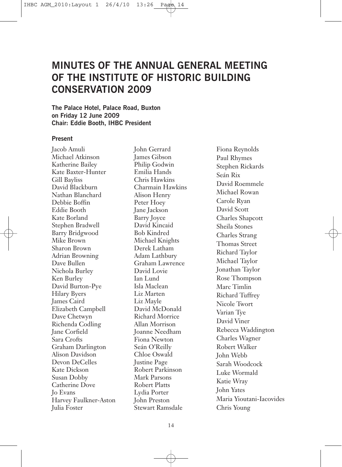# **MINUTES OF THE ANNUAL GENERAL MEETING OF THE INSTITUTE OF HISTORIC BUILDING CONSERVATION 2009**

**The Palace Hotel, Palace Road, Buxton on Friday 12 June 2009 Chair: Eddie Booth, IHBC President**

## **Present**

Jacob Amuli Michael Atkinson Katherine Bailey Kate Baxter-Hunter Gill Bayliss David Blackburn Nathan Blanchard Debbie Boffin Eddie Booth Kate Borland Stephen Bradwell Barry Bridgwood Mike Brown Sharon Brown Adrian Browning Dave Bullen Nichola Burley Ken Burley David Burton-Pye Hilary Byers James Caird Elizabeth Campbell Dave Chetwyn Richenda Codling Jane Corfield Sara Crofts Graham Darlington Alison Davidson Devon DeCelles Kate Dickson Susan Dobby Catherine Dove Jo Evans Harvey Faulkner-Aston Julia Foster

John Gerrard James Gibson Philip Godwin Emilia Hands Chris Hawkins Charmain Hawkins Alison Henry Peter Hoey Jane Jackson Barry Joyce David Kincaid Bob Kindred Michael Knights Derek Latham Adam Lathbury Graham Lawrence David Lovie Ian Lund Isla Maclean Liz Marten Liz Mayle David McDonald Richard Morrice Allan Morrison Joanne Needham Fiona Newton Seán O'Reilly Chloe Oswald Justine Page Robert Parkinson Mark Parsons Robert Platts Lydia Porter John Preston Stewart Ramsdale

Fiona Reynolds Paul Rhymes Stephen Rickards Seán Rix David Roemmele Michael Rowan Carole Ryan David Scott Charles Shapcott Sheila Stones Charles Strang Thomas Street Richard Taylor Michael Taylor Jonathan Taylor Rose Thompson Marc Timlin Richard Tuffrey Nicole Twort Varian Tye David Viner Rebecca Waddington Charles Wagner Robert Walker John Webb Sarah Woodcock Luke Wormald Katie Wray John Yates Maria Yioutani-Iacovides Chris Young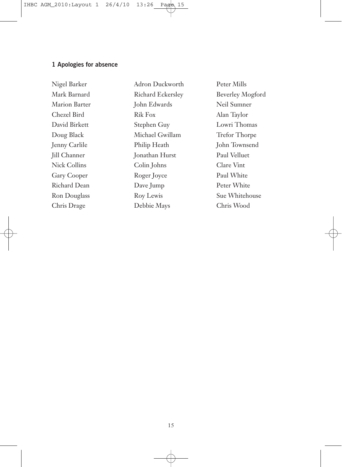# **1 Apologies for absence**

Nigel Barker Mark Barnard Marion Barter Chezel Bird David Birkett Doug Black Jenny Carlile Jill Channer Nick Collins Gary Cooper Richard Dean Ron Douglass Chris Drage

Adron Duckworth Richard Eckersley John Edwards Rik Fox Stephen Guy Michael Gwillam Philip Heath Jonathan Hurst Colin Johns Roger Joyce Dave Jump Roy Lewis Debbie Mays

Peter Mills Beverley Mogford Neil Sumner Alan Taylor Lowri Thomas Trefor Thorpe John Townsend Paul Velluet Clare Vint Paul White Peter White Sue Whitehouse Chris Wood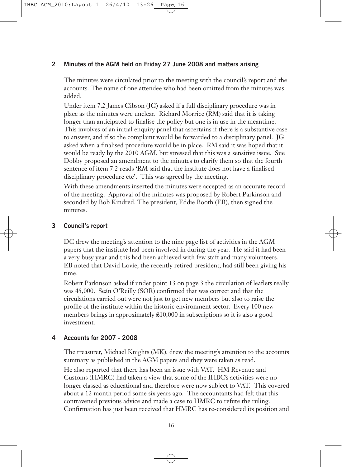### **2 Minutes of the AGM held on Friday 27 June 2008 and matters arising**

The minutes were circulated prior to the meeting with the council's report and the accounts. The name of one attendee who had been omitted from the minutes was added.

Under item 7.2 James Gibson (JG) asked if a full disciplinary procedure was in place as the minutes were unclear. Richard Morrice (RM) said that it is taking longer than anticipated to finalise the policy but one is in use in the meantime. This involves of an initial enquiry panel that ascertains if there is a substantive case to answer, and if so the complaint would be forwarded to a disciplinary panel. JG asked when a finalised procedure would be in place. RM said it was hoped that it would be ready by the 2010 AGM, but stressed that this was a sensitive issue. Sue Dobby proposed an amendment to the minutes to clarify them so that the fourth sentence of item 7.2 reads 'RM said that the institute does not have a finalised disciplinary procedure etc'. This was agreed by the meeting.

With these amendments inserted the minutes were accepted as an accurate record of the meeting. Approval of the minutes was proposed by Robert Parkinson and seconded by Bob Kindred. The president, Eddie Booth (EB), then signed the minutes.

### **3 Council's report**

DC drew the meeting's attention to the nine page list of activities in the AGM papers that the institute had been involved in during the year. He said it had been a very busy year and this had been achieved with few staff and many volunteers. EB noted that David Lovie, the recently retired president, had still been giving his time.

Robert Parkinson asked if under point 13 on page 3 the circulation of leaflets really was 45,000. Seán O'Reilly (SOR) confirmed that was correct and that the circulations carried out were not just to get new members but also to raise the profile of the institute within the historic environment sector. Every 100 new members brings in approximately £10,000 in subscriptions so it is also a good investment.

### **4 Accounts for 2007 - 2008**

The treasurer, Michael Knights (MK), drew the meeting's attention to the accounts summary as published in the AGM papers and they were taken as read.

He also reported that there has been an issue with VAT. HM Revenue and Customs (HMRC) had taken a view that some of the IHBC's activities were no longer classed as educational and therefore were now subject to VAT. This covered about a 12 month period some six years ago. The accountants had felt that this contravened previous advice and made a case to HMRC to refute the ruling. Confirmation has just been received that HMRC has re-considered its position and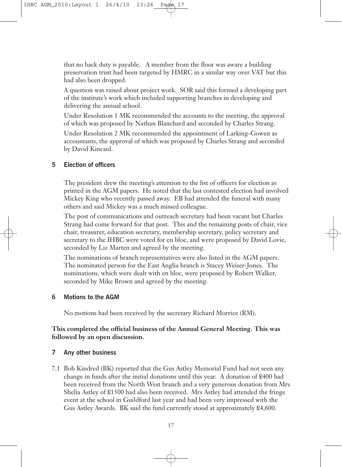that no back duty is payable. A member from the floor was aware a building preservation trust had been targeted by HMRC in a similar way over VAT but this had also been dropped.

A question was raised about project work. SOR said this formed a developing part of the institute's work which included supporting branches in developing and delivering the annual school.

Under Resolution 1 MK recommended the accounts to the meeting, the approval of which was proposed by Nathan Blanchard and seconded by Charles Strang.

Under Resolution 2 MK recommended the appointment of Larking-Gowen as accountants, the approval of which was proposed by Charles Strang and seconded by David Kincaid.

### **5 Election of officers**

The president drew the meeting's attention to the list of officers for election as printed in the AGM papers. He noted that the last contested election had involved Mickey King who recently passed away. EB had attended the funeral with many others and said Mickey was a much missed colleague.

The post of communications and outreach secretary had been vacant but Charles Strang had come forward for that post. This and the remaining posts of chair, vice chair, treasurer, education secretary, membership secretary, policy secretary and secretary to the IHBC were voted for en bloc, and were proposed by David Lovie, seconded by Liz Marten and agreed by the meeting.

The nominations of branch representatives were also listed in the AGM papers. The nominated person for the East Anglia branch is Stacey Weiser-Jones. The nominations, which were dealt with en bloc, were proposed by Robert Walker, seconded by Mike Brown and agreed by the meeting.

### **6 Motions to the AGM**

No motions had been received by the secretary Richard Morrice (RM).

# **This completed the official business of the Annual General Meeting. This was followed by an open discussion.**

### **7 Any other business**

7.1 Bob Kindred (BK) reported that the Gus Astley Memorial Fund had not seen any change in funds after the initial donations until this year. A donation of £400 had been received from the North West branch and a very generous donation from Mrs Shelia Astley of £1500 had also been received. Mrs Astley had attended the fringe event at the school in Guildford last year and had been very impressed with the Gus Astley Awards. BK said the fund currently stood at approximately £4,600.